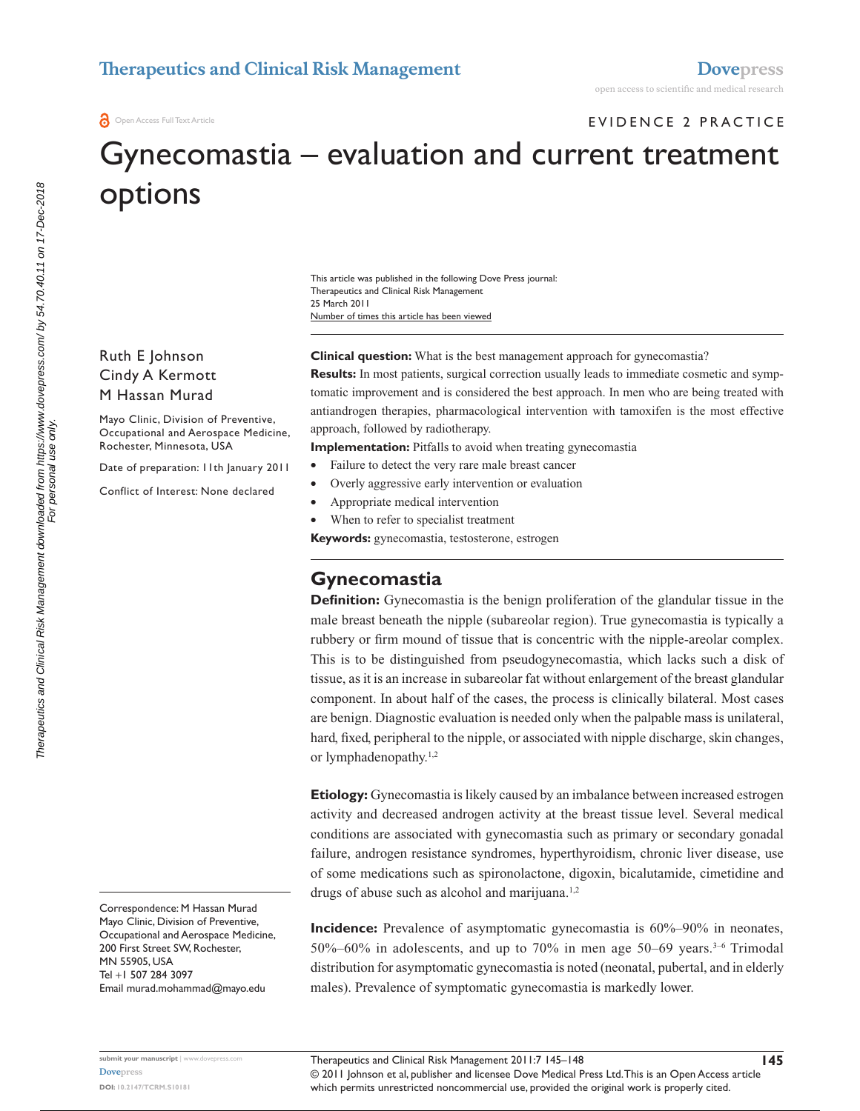Open Access Full Text Article

EVIDENCE 2 PRACTICE

# Gynecomastia – evaluation and current treatment options

Number of times this article has been viewed This article was published in the following Dove Press journal: Therapeutics and Clinical Risk Management 25 March 2011

Ruth E Johnson Cindy A Kermott M Hassan Murad

Mayo Clinic, Division of Preventive, Occupational and Aerospace Medicine, Rochester, Minnesota, USA

Date of preparation: 11th January 2011

Conflict of Interest: None declared

Correspondence: M Hassan Murad Mayo Clinic, Division of Preventive, Occupational and Aerospace Medicine, 200 First Street SW, Rochester, MN 55905, USA Tel +1 507 284 3097 Email [murad.mohammad@mayo.edu](mailto:murad.mohammad@mayo.edu)

**Clinical question:** What is the best management approach for gynecomastia?

**Results:** In most patients, surgical correction usually leads to immediate cosmetic and symptomatic improvement and is considered the best approach. In men who are being treated with antiandrogen therapies, pharmacological intervention with tamoxifen is the most effective approach, followed by radiotherapy.

**Implementation:** Pitfalls to avoid when treating gynecomastia

- Failure to detect the very rare male breast cancer
- Overly aggressive early intervention or evaluation
- Appropriate medical intervention
- When to refer to specialist treatment

**Keywords:** gynecomastia, testosterone, estrogen

## **Gynecomastia**

**Definition:** Gynecomastia is the benign proliferation of the glandular tissue in the male breast beneath the nipple (subareolar region). True gynecomastia is typically a rubbery or firm mound of tissue that is concentric with the nipple-areolar complex. This is to be distinguished from pseudogynecomastia, which lacks such a disk of tissue, as it is an increase in subareolar fat without enlargement of the breast glandular component. In about half of the cases, the process is clinically bilateral. Most cases are benign. Diagnostic evaluation is needed only when the palpable mass is unilateral, hard, fixed, peripheral to the nipple, or associated with nipple discharge, skin changes, or lymphadenopathy.<sup>1,2</sup>

**Etiology:** Gynecomastia is likely caused by an imbalance between increased estrogen activity and decreased androgen activity at the breast tissue level. Several medical conditions are associated with gynecomastia such as primary or secondary gonadal failure, androgen resistance syndromes, hyperthyroidism, chronic liver disease, use of some medications such as spironolactone, digoxin, bicalutamide, cimetidine and drugs of abuse such as alcohol and marijuana.<sup>1,2</sup>

**Incidence:** Prevalence of asymptomatic gynecomastia is  $60\% - 90\%$  in neonates, 50%–60% in adolescents, and up to 70% in men age 50–69 years.<sup>3-6</sup> Trimodal distribution for asymptomatic gynecomastia is noted (neonatal, pubertal, and in elderly males). Prevalence of symptomatic gynecomastia is markedly lower.

**submit your manuscript** | <www.dovepress.com> **[Dovepress](www.dovepress.com) DOI: 10.2147/TCRM.S10181**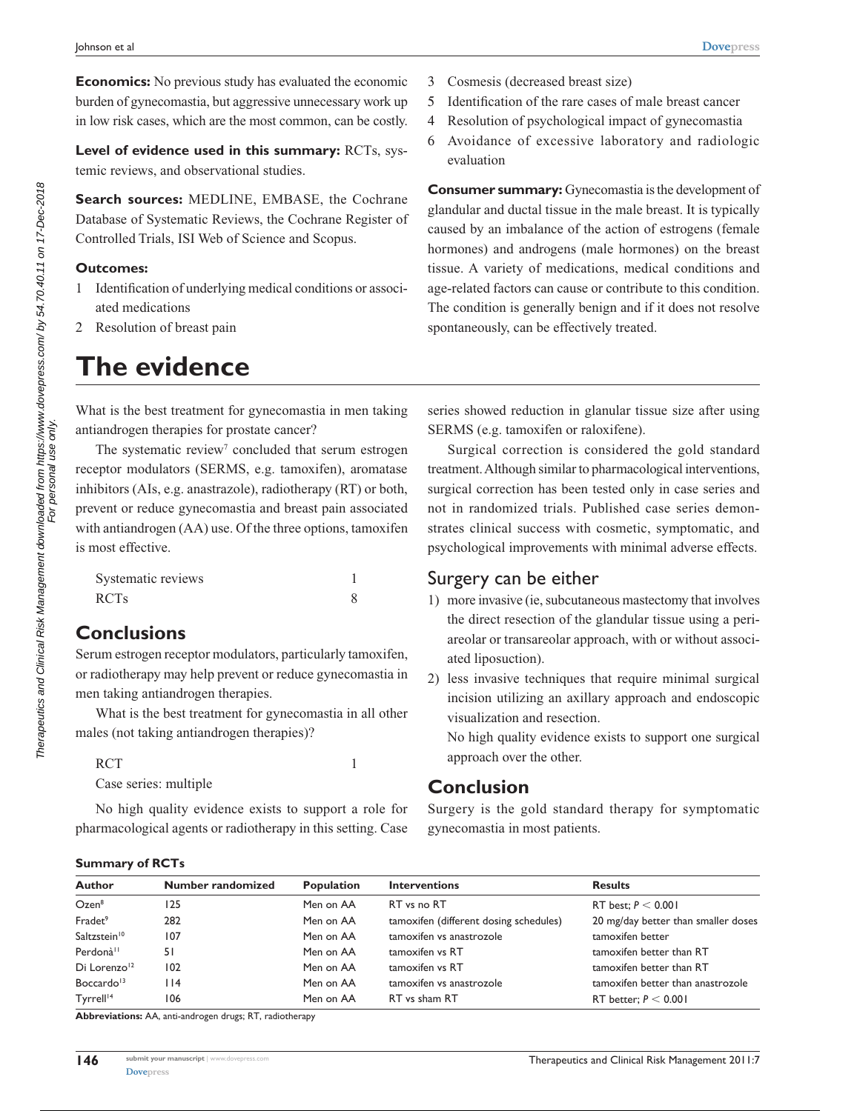**Economics:** No previous study has evaluated the economic burden of gynecomastia, but aggressive unnecessary work up in low risk cases, which are the most common, can be costly.

**Level of evidence used in this summary:** RCTs, systemic reviews, and observational studies.

**Search sources:** MEDLINE, EMBASE, the Cochrane Database of Systematic Reviews, the Cochrane Register of Controlled Trials, ISI Web of Science and Scopus.

#### **Outcomes:**

- 1 Identification of underlying medical conditions or associated medications
- 2 Resolution of breast pain

# **The evidence**

What is the best treatment for gynecomastia in men taking antiandrogen therapies for prostate cancer?

The systematic review<sup>7</sup> concluded that serum estrogen receptor modulators (SERMS, e.g. tamoxifen), aromatase inhibitors (AIs, e.g. anastrazole), radiotherapy (RT) or both, prevent or reduce gynecomastia and breast pain associated with antiandrogen (AA) use. Of the three options, tamoxifen is most effective.

| Systematic reviews |  |
|--------------------|--|
| <b>RCTs</b>        |  |

# **Conclusions**

Serum estrogen receptor modulators, particularly tamoxifen, or radiotherapy may help prevent or reduce gynecomastia in men taking antiandrogen therapies.

What is the best treatment for gynecomastia in all other males (not taking antiandrogen therapies)?

#### RCT 1

Case series: multiple

No high quality evidence exists to support a role for pharmacological agents or radiotherapy in this setting. Case

- 3 Cosmesis (decreased breast size)
- 5 Identification of the rare cases of male breast cancer
- 4 Resolution of psychological impact of gynecomastia
- Avoidance of excessive laboratory and radiologic evaluation

**Consumer summary:** Gynecomastia is the development of glandular and ductal tissue in the male breast. It is typically caused by an imbalance of the action of estrogens (female hormones) and androgens (male hormones) on the breast tissue. A variety of medications, medical conditions and age-related factors can cause or contribute to this condition. The condition is generally benign and if it does not resolve spontaneously, can be effectively treated.

series showed reduction in glanular tissue size after using SERMS (e.g. tamoxifen or raloxifene).

Surgical correction is considered the gold standard treatment. Although similar to pharmacological interventions, surgical correction has been tested only in case series and not in randomized trials. Published case series demonstrates clinical success with cosmetic, symptomatic, and psychological improvements with minimal adverse effects.

# Surgery can be either

- 1) more invasive (ie, subcutaneous mastectomy that involves the direct resection of the glandular tissue using a periareolar or transareolar approach, with or without associated liposuction).
- 2) less invasive techniques that require minimal surgical incision utilizing an axillary approach and endoscopic visualization and resection.

No high quality evidence exists to support one surgical approach over the other.

# **Conclusion**

Surgery is the gold standard therapy for symptomatic gynecomastia in most patients.

#### **Summary of RCTs**

| <b>Author</b>            | Number randomized | <b>Population</b> | <b>Interventions</b>                   | <b>Results</b>                      |
|--------------------------|-------------------|-------------------|----------------------------------------|-------------------------------------|
| Ozen <sup>8</sup>        | 125               | Men on AA         | RT vs no RT                            | RT best; $P < 0.001$                |
| Fradet <sup>9</sup>      | 282               | Men on AA         | tamoxifen (different dosing schedules) | 20 mg/day better than smaller doses |
| Saltzstein <sup>10</sup> | 107               | Men on AA         | tamoxifen vs anastrozole               | tamoxifen better                    |
| Perdonà <sup>11</sup>    | 51                | Men on AA         | tamoxifen vs RT                        | tamoxifen better than RT            |
| Di Lorenzo <sup>12</sup> | 102               | Men on AA         | tamoxifen vs RT                        | tamoxifen better than RT            |
| Boccardo <sup>13</sup>   | 114               | Men on AA         | tamoxifen vs anastrozole               | tamoxifen better than anastrozole   |
| Tyrrell <sup>14</sup>    | 106               | Men on AA         | RT vs sham RT                          | RT better; $P < 0.001$              |

**Abbreviations:** AA, anti-androgen drugs; RT, radiotherapy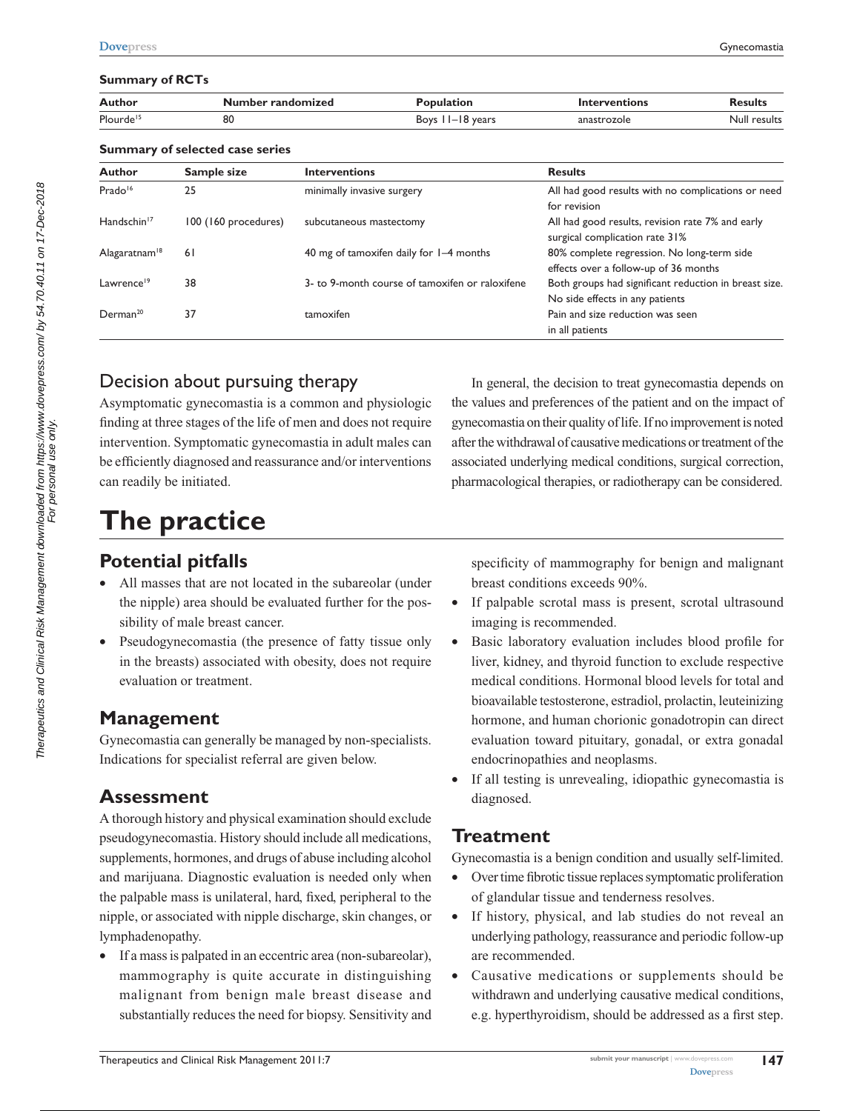#### **Summary of RCTs**

| <b>Author</b>         |                                 | Number randomized    | <b>Population</b> | <b>Interventions</b> | <b>Results</b> |
|-----------------------|---------------------------------|----------------------|-------------------|----------------------|----------------|
| Plourde <sup>15</sup> | 80                              |                      | Boys 11–18 years  | anastrozole          | Null results   |
|                       | Summary of selected case series |                      |                   |                      |                |
| <b>Author</b>         | Sample size                     | <b>Interventions</b> |                   | <b>Results</b>       |                |

| Author                    | Sample size          | <b>INTERVENTIONS</b>                            | Results                                                                                  |
|---------------------------|----------------------|-------------------------------------------------|------------------------------------------------------------------------------------------|
| Prado <sup>16</sup>       | 25                   | minimally invasive surgery                      | All had good results with no complications or need<br>for revision                       |
| Handschin <sup>17</sup>   | 100 (160 procedures) | subcutaneous mastectomy                         | All had good results, revision rate 7% and early<br>surgical complication rate 31%       |
| Alagaratnam <sup>18</sup> | 61                   | 40 mg of tamoxifen daily for 1–4 months         | 80% complete regression. No long-term side<br>effects over a follow-up of 36 months      |
| Lawrence <sup>19</sup>    | 38                   | 3- to 9-month course of tamoxifen or raloxifene | Both groups had significant reduction in breast size.<br>No side effects in any patients |
| Derman <sup>20</sup>      | 37                   | tamoxifen                                       | Pain and size reduction was seen<br>in all patients                                      |

### Decision about pursuing therapy

Asymptomatic gynecomastia is a common and physiologic finding at three stages of the life of men and does not require intervention. Symptomatic gynecomastia in adult males can be efficiently diagnosed and reassurance and/or interventions can readily be initiated.

In general, the decision to treat gynecomastia depends on the values and preferences of the patient and on the impact of gynecomastia on their quality of life. If no improvement is noted after the withdrawal of causative medications or treatment of the associated underlying medical conditions, surgical correction, pharmacological therapies, or radiotherapy can be considered.

# **The practice**

# **Potential pitfalls**

- All masses that are not located in the subareolar (under the nipple) area should be evaluated further for the possibility of male breast cancer.
- • Pseudogynecomastia (the presence of fatty tissue only in the breasts) associated with obesity, does not require evaluation or treatment.

## **Management**

Gynecomastia can generally be managed by non-specialists. Indications for specialist referral are given below.

# **Assessment**

A thorough history and physical examination should exclude pseudogynecomastia. History should include all medications, supplements, hormones, and drugs of abuse including alcohol and marijuana. Diagnostic evaluation is needed only when the palpable mass is unilateral, hard, fixed, peripheral to the nipple, or associated with nipple discharge, skin changes, or lymphadenopathy.

• If a mass is palpated in an eccentric area (non-subareolar), mammography is quite accurate in distinguishing malignant from benign male breast disease and substantially reduces the need for biopsy. Sensitivity and specificity of mammography for benign and malignant breast conditions exceeds 90%.

- • If palpable scrotal mass is present, scrotal ultrasound imaging is recommended.
- • Basic laboratory evaluation includes blood profile for liver, kidney, and thyroid function to exclude respective medical conditions. Hormonal blood levels for total and bioavailable testosterone, estradiol, prolactin, leuteinizing hormone, and human chorionic gonadotropin can direct evaluation toward pituitary, gonadal, or extra gonadal endocrinopathies and neoplasms.
- • If all testing is unrevealing, idiopathic gynecomastia is diagnosed.

# **Treatment**

Gynecomastia is a benign condition and usually self-limited.

- Over time fibrotic tissue replaces symptomatic proliferation of glandular tissue and tenderness resolves.
- • If history, physical, and lab studies do not reveal an underlying pathology, reassurance and periodic follow-up are recommended.
- Causative medications or supplements should be withdrawn and underlying causative medical conditions, e.g. hyperthyroidism, should be addressed as a first step.

For personal use only.